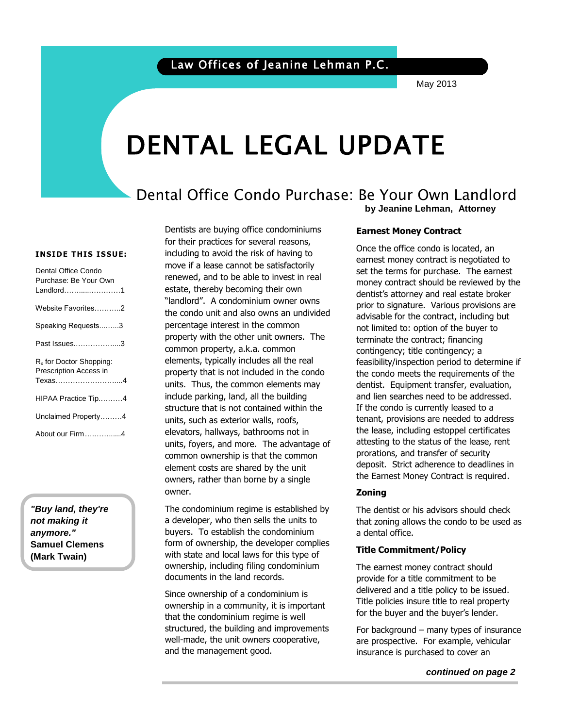May 2013

# DENTAL LEGAL UPDATE

### Dental Office Condo Purchase: Be Your Own Landlord **by Jeanine Lehman, Attorney**

#### **INSIDE THIS ISSUE:**

| Dental Office Condo<br>Purchase: Be Your Own<br>Landlord………………1         |
|-------------------------------------------------------------------------|
| Website Favorites2                                                      |
| Speaking Requests3                                                      |
| Past Issues3                                                            |
| R <sub>x</sub> for Doctor Shopping:<br>Prescription Access in<br>Texas4 |
| HIPAA Practice Tip4                                                     |
| Unclaimed Property4                                                     |
| About our Firm4                                                         |

*"Buy land, they're not making it anymore."* **Samuel Clemens (Mark Twain)**

Dentists are buying office condominiums for their practices for several reasons, including to avoid the risk of having to move if a lease cannot be satisfactorily renewed, and to be able to invest in real estate, thereby becoming their own "landlord". A condominium owner owns the condo unit and also owns an undivided percentage interest in the common property with the other unit owners. The common property, a.k.a. common elements, typically includes all the real property that is not included in the condo units. Thus, the common elements may include parking, land, all the building structure that is not contained within the units, such as exterior walls, roofs, elevators, hallways, bathrooms not in units, foyers, and more. The advantage of common ownership is that the common element costs are shared by the unit owners, rather than borne by a single owner.

The condominium regime is established by a developer, who then sells the units to buyers. To establish the condominium form of ownership, the developer complies with state and local laws for this type of ownership, including filing condominium documents in the land records.

Since ownership of a condominium is ownership in a community, it is important that the condominium regime is well structured, the building and improvements well-made, the unit owners cooperative, and the management good.

#### **Earnest Money Contract**

Once the omce condo is located, an<br>earnest money contract is negotiated to bet the terms for parentsse. The camest prior to signature. Various provisions are Once the office condo is located, an set the terms for purchase. The earnest dentist's attorney and real estate broker advisable for the contract, including but not limited to: option of the buyer to terminate the contract; financing contingency; title contingency; a feasibility/inspection period to determine if the condo meets the requirements of the dentist. Equipment transfer, evaluation, and lien searches need to be addressed. If the condo is currently leased to a tenant, provisions are needed to address the lease, including estoppel certificates attesting to the status of the lease, rent prorations, and transfer of security deposit. Strict adherence to deadlines in the Earnest Money Contract is required.

#### **Zoning**

The dentist or his advisors should check that zoning allows the condo to be used as a dental office.

#### **Title Commitment/Policy**

The earnest money contract should provide for a title commitment to be delivered and a title policy to be issued. Title policies insure title to real property for the buyer and the buyer's lender.

For background – many types of insurance are prospective. For example, vehicular insurance is purchased to cover an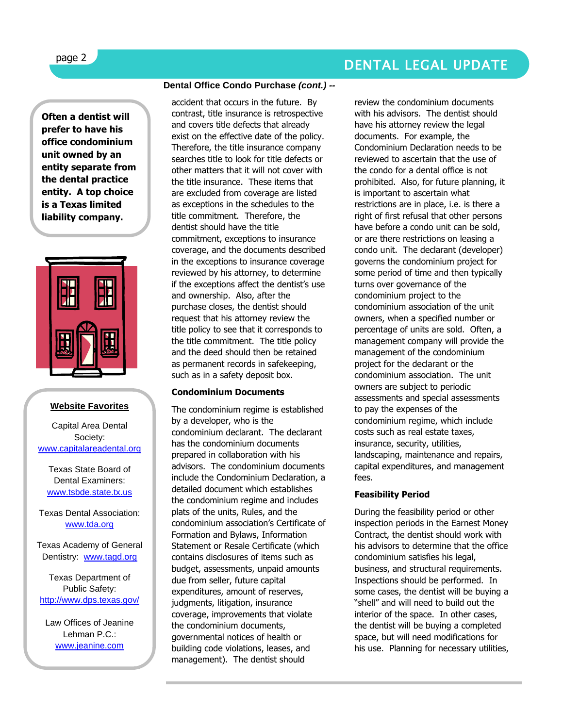# DENTAL LEGAL UPDATE

**Often a dentist will prefer to have his office condominium unit owned by an entity separate from the dental practice entity. A top choice is a Texas limited liability company.** 



#### **Website Favorites**

Capital Area Dental Society: [www.capitalareadental.org](http://www.capitalareadental.org/)

Texas State Board of Dental Examiners: [www.tsbde.state.tx.us](http://www.tsbde.state.tx.us/)

Texas Dental Association: [www.tda.org](http://www.tda.org/)

Texas Academy of General Dentistry: [www.tagd.org](http://www.tagd.org/)

Texas Department of Public Safety: <http://www.dps.texas.gov/>

Law Offices of Jeanine Lehman P.C. [www.jeanine.com](http://www.jeanine.com/)

#### **Dental Office Condo Purchase** *(cont.) --*

accident that occurs in the future. By contrast, title insurance is retrospective and covers title defects that already exist on the effective date of the policy. Therefore, the title insurance company searches title to look for title defects or other matters that it will not cover with the title insurance. These items that are excluded from coverage are listed as exceptions in the schedules to the title commitment. Therefore, the dentist should have the title commitment, exceptions to insurance coverage, and the documents described in the exceptions to insurance coverage reviewed by his attorney, to determine if the exceptions affect the dentist's use and ownership. Also, after the purchase closes, the dentist should request that his attorney review the title policy to see that it corresponds to the title commitment. The title policy and the deed should then be retained as permanent records in safekeeping, such as in a safety deposit box.

#### **Condominium Documents**

The condominium regime is established by a developer, who is the condominium declarant. The declarant has the condominium documents prepared in collaboration with his advisors. The condominium documents include the Condominium Declaration, a detailed document which establishes the condominium regime and includes plats of the units, Rules, and the condominium association's Certificate of Formation and Bylaws, Information Statement or Resale Certificate (which contains disclosures of items such as budget, assessments, unpaid amounts due from seller, future capital expenditures, amount of reserves, judgments, litigation, insurance coverage, improvements that violate the condominium documents, governmental notices of health or building code violations, leases, and management). The dentist should

review the condominium documents with his advisors. The dentist should have his attorney review the legal documents. For example, the Condominium Declaration needs to be reviewed to ascertain that the use of the condo for a dental office is not prohibited. Also, for future planning, it is important to ascertain what restrictions are in place, i.e. is there a right of first refusal that other persons have before a condo unit can be sold, or are there restrictions on leasing a condo unit. The declarant (developer) governs the condominium project for some period of time and then typically turns over governance of the condominium project to the condominium association of the unit owners, when a specified number or percentage of units are sold. Often, a management company will provide the management of the condominium project for the declarant or the condominium association. The unit owners are subject to periodic assessments and special assessments to pay the expenses of the condominium regime, which include costs such as real estate taxes, insurance, security, utilities, landscaping, maintenance and repairs, capital expenditures, and management fees.

#### **Feasibility Period**

During the feasibility period or other inspection periods in the Earnest Money Contract, the dentist should work with his advisors to determine that the office condominium satisfies his legal, business, and structural requirements. Inspections should be performed. In some cases, the dentist will be buying a "shell" and will need to build out the interior of the space. In other cases, the dentist will be buying a completed space, but will need modifications for his use. Planning for necessary utilities,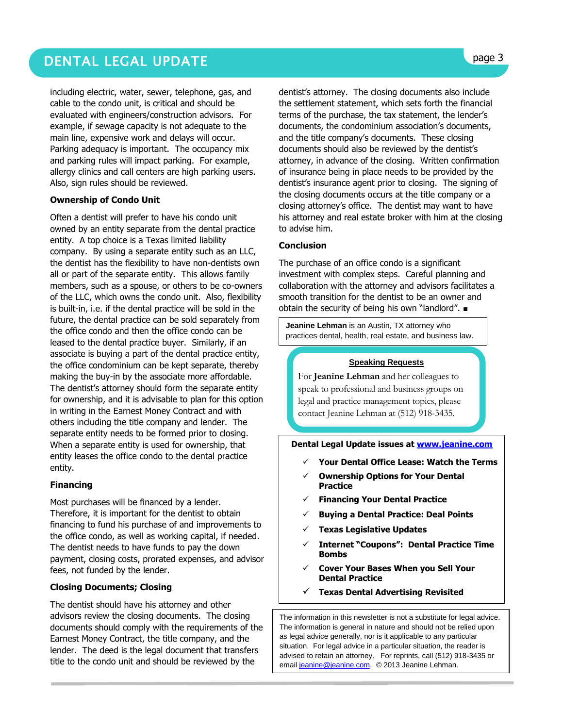# DENTAL LEGAL UPDATE **page 3**

including electric, water, sewer, telephone, gas, and cable to the condo unit, is critical and should be evaluated with engineers/construction advisors. For example, if sewage capacity is not adequate to the main line, expensive work and delays will occur. Parking adequacy is important. The occupancy mix and parking rules will impact parking. For example, allergy clinics and call centers are high parking users. Also, sign rules should be reviewed.

#### **Ownership of Condo Unit**

Often a dentist will prefer to have his condo unit owned by an entity separate from the dental practice entity. A top choice is a Texas limited liability company. By using a separate entity such as an LLC, the dentist has the flexibility to have non-dentists own all or part of the separate entity. This allows family members, such as a spouse, or others to be co-owners of the LLC, which owns the condo unit. Also, flexibility is built-in, i.e. if the dental practice will be sold in the future, the dental practice can be sold separately from the office condo and then the office condo can be leased to the dental practice buyer. Similarly, if an associate is buying a part of the dental practice entity, the office condominium can be kept separate, thereby making the buy-in by the associate more affordable. The dentist's attorney should form the separate entity for ownership, and it is advisable to plan for this option in writing in the Earnest Money Contract and with others including the title company and lender. The separate entity needs to be formed prior to closing. When a separate entity is used for ownership, that entity leases the office condo to the dental practice entity.

#### **Financing**

Most purchases will be financed by a lender. Therefore, it is important for the dentist to obtain financing to fund his purchase of and improvements to the office condo, as well as working capital, if needed. The dentist needs to have funds to pay the down payment, closing costs, prorated expenses, and advisor fees, not funded by the lender.

#### **Closing Documents; Closing**

The dentist should have his attorney and other advisors review the closing documents. The closing documents should comply with the requirements of the Earnest Money Contract, the title company, and the lender. The deed is the legal document that transfers title to the condo unit and should be reviewed by the

dentist's attorney. The closing documents also include the settlement statement, which sets forth the financial terms of the purchase, the tax statement, the lender's documents, the condominium association's documents, and the title company's documents. These closing documents should also be reviewed by the dentist's attorney, in advance of the closing. Written confirmation of insurance being in place needs to be provided by the dentist's insurance agent prior to closing. The signing of the closing documents occurs at the title company or a closing attorney's office. The dentist may want to have his attorney and real estate broker with him at the closing to advise him.

#### **Conclusion**

The purchase of an office condo is a significant investment with complex steps. Careful planning and collaboration with the attorney and advisors facilitates a smooth transition for the dentist to be an owner and obtain the security of being his own "landlord". ■

**Jeanine Lehman** is an Austin, TX attorney who practices dental, health, real estate, and business law.

#### **Speaking Requests**

For **Jeanine Lehman** and her colleagues to speak to professional and business groups on legal and practice management topics, please contact Jeanine Lehman at (512) 918-3435.

#### **Dental Legal Update issues at [www.jeanine.com](http://www.jeanine.com/)**

- **Your Dental Office Lease: Watch the Terms**
- **Ownership Options for Your Dental Practice**
- **Financing Your Dental Practice**
- **Buying a Dental Practice: Deal Points**
- **Texas Legislative Updates**
- **Internet "Coupons": Dental Practice Time Bombs**
- **Cover Your Bases When you Sell Your Dental Practice**
- **Texas Dental Advertising Revisited**

The information in this newsletter is not a substitute for legal advice. The information is general in nature and should not be relied upon as legal advice generally, nor is it applicable to any particular situation. For legal advice in a particular situation, the reader is advised to retain an attorney. For reprints, call (512) 918-3435 or emai[l jeanine@jeanine.com.](mailto:jeanine@jeanine.com) © 2013 Jeanine Lehman.